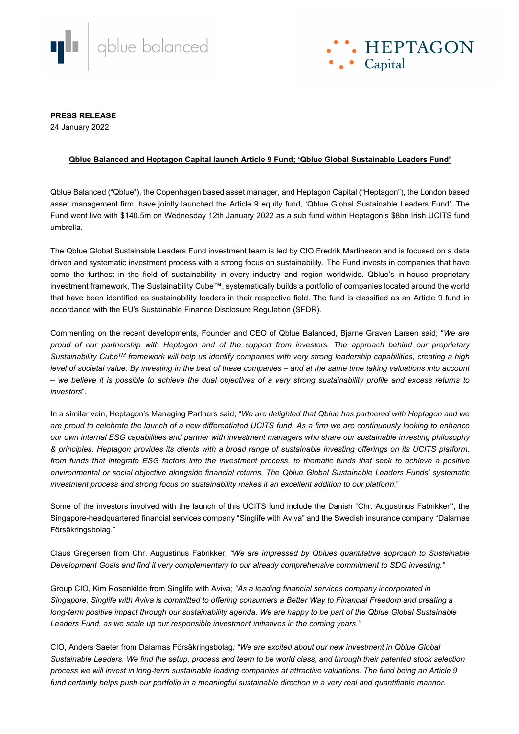



**PRESS RELEASE**

24 January 2022

## **Qblue Balanced and Heptagon Capital launch Article 9 Fund; 'Qblue Global Sustainable Leaders Fund'**

Qblue Balanced ("Qblue"), the Copenhagen based asset manager, and Heptagon Capital ("Heptagon"), the London based asset management firm, have jointly launched the Article 9 equity fund, 'Qblue Global Sustainable Leaders Fund'. The Fund went live with \$140.5m on Wednesday 12th January 2022 as a sub fund within Heptagon's \$8bn Irish UCITS fund umbrella.

The Qblue Global Sustainable Leaders Fund investment team is led by CIO Fredrik Martinsson and is focused on a data driven and systematic investment process with a strong focus on sustainability. The Fund invests in companies that have come the furthest in the field of sustainability in every industry and region worldwide. Qblue's in-house proprietary investment framework, The Sustainability Cube™, systematically builds a portfolio of companies located around the world that have been identified as sustainability leaders in their respective field. The fund is classified as an Article 9 fund in accordance with the EU's Sustainable Finance Disclosure Regulation (SFDR).

Commenting on the recent developments, Founder and CEO of Qblue Balanced, Bjarne Graven Larsen said; "*We are proud of our partnership with Heptagon and of the support from investors. The approach behind our proprietary Sustainability CubeTM framework will help us identify companies with very strong leadership capabilities, creating a high level of societal value. By investing in the best of these companies – and at the same time taking valuations into account – we believe it is possible to achieve the dual objectives of a very strong sustainability profile and excess returns to investors*".

In a similar vein, Heptagon's Managing Partners said; "*We are delighted that Qblue has partnered with Heptagon and we are proud to celebrate the launch of a new differentiated UCITS fund. As a firm we are continuously looking to enhance our own internal ESG capabilities and partner with investment managers who share our sustainable investing philosophy & principles. Heptagon provides its clients with a broad range of sustainable investing offerings on its UCITS platform,*  from funds that integrate ESG factors into the investment process, to thematic funds that seek to achieve a positive *environmental or social objective alongside financial returns. The Qblue Global Sustainable Leaders Funds' systematic investment process and strong focus on sustainability makes it an excellent addition to our platform*."

Some of the investors involved with the launch of this UCITS fund include the Danish "Chr. Augustinus Fabrikker**"**, the Singapore-headquartered financial services company "Singlife with Aviva" and the Swedish insurance company "Dalarnas Försäkringsbolag."

Claus Gregersen from Chr. Augustinus Fabrikker; *"We are impressed by Qblues quantitative approach to Sustainable Development Goals and find it very complementary to our already comprehensive commitment to SDG investing."*

Group CIO, Kim Rosenkilde from Singlife with Aviva*; "As a leading financial services company incorporated in Singapore, Singlife with Aviva is committed to offering consumers a Better Way to Financial Freedom and creating a long-term positive impact through our sustainability agenda. We are happy to be part of the Qblue Global Sustainable Leaders Fund, as we scale up our responsible investment initiatives in the coming years."*

CIO, Anders Saeter from Dalarnas Försäkringsbolag*; "We are excited about our new investment in Qblue Global Sustainable Leaders. We find the setup, process and team to be world class, and through their patented stock selection process we will invest in long-term sustainable leading companies at attractive valuations. The fund being an Article 9 fund certainly helps push our portfolio in a meaningful sustainable direction in a very real and quantifiable manner.*